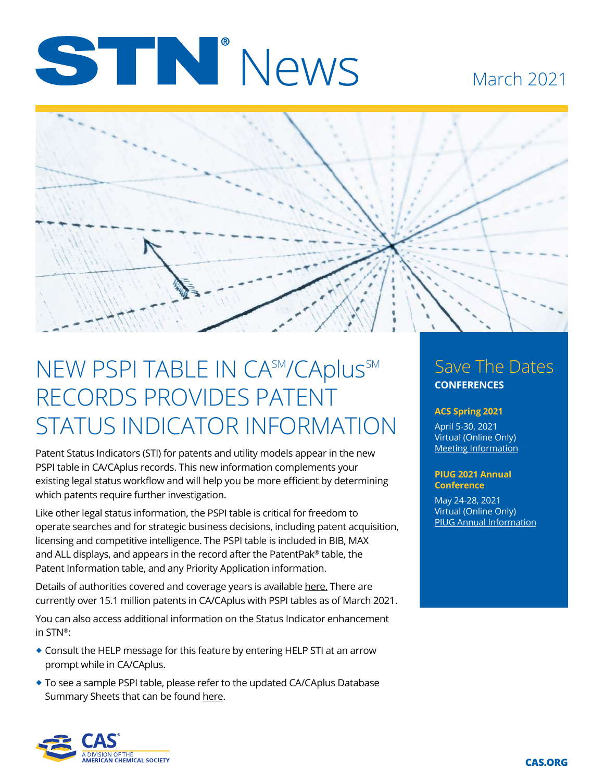# STIN News

#### March 2021



## NEW PSPI TABLE IN CA<sup>SM</sup>/CAplus<sup>SM</sup> RECORDS PROVIDES PATENT STATUS INDICATOR INFORMATION

Patent Status Indicators (STI) for patents and utility models appear in the new PSPI table in CA/CAplus records. This new information complements your existing legal status workflow and will help you be more efficient by determining which patents require further investigation.

Like other legal status information, the PSPI table is critical for freedom to operate searches and for strategic business decisions, including patent acquisition, licensing and competitive intelligence. The PSPI table is included in BIB, MAX and ALL displays, and appears in the record after the PatentPak® table, the Patent Information table, and any Priority Application information.

Details of authorities covered and coverage years is available [here.](https://www.cas.org/support/documentation/references/patyear) There are currently over 15.1 million patents in CA/CAplus with PSPI tables as of March 2021.

You can also access additional information on the Status Indicator enhancement in STN®:

- � Consult the HELP message for this feature by entering HELP STI at an arrow prompt while in CA/CAplus.
- � To see a sample PSPI table, please refer to the updated CA/CAplus Database Summary Sheets that can be found [here](https://www.cas.org/support/documentation/stn/database-summary-sheets#c"
).

#### Save The Dates **CONFERENCES**

#### **ACS Spring 2021**

April 5-30, 2021 Virtual (Online Only) [Meeting Information](https://www.acs.org/content/acs/en/meetings/acs-meetings.html)

#### **PIUG 2021 Annual Conference**

May 24-28, 2021 Virtual (Online Only) [PIUG Annual Information](https://www.piug.org/an21meeting/)

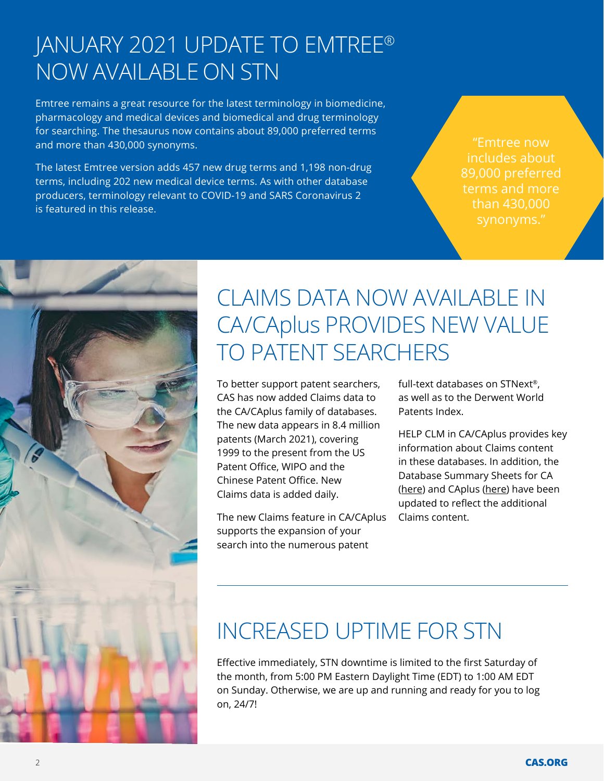#### JANUARY 2021 UPDATE TO EMTREE® NOW AVAILABLE ON STN

Emtree remains a great resource for the latest terminology in biomedicine, pharmacology and medical devices and biomedical and drug terminology for searching. The thesaurus now contains about 89,000 preferred terms and more than 430,000 synonyms.

The latest Emtree version adds 457 new drug terms and 1,198 non-drug terms, including 202 new medical device terms. As with other database producers, terminology relevant to COVID-19 and SARS Coronavirus 2 is featured in this release.

"Emtree now includes about 89,000 preferred terms and more than 430,000



#### CLAIMS DATA NOW AVAILABLE IN CA/CAplus PROVIDES NEW VALUE TO PATENT SEARCHERS

To better support patent searchers, CAS has now added Claims data to the CA/CAplus family of databases. The new data appears in 8.4 million patents (March 2021), covering 1999 to the present from the US Patent Office, WIPO and the Chinese Patent Office. New Claims data is added daily.

The new Claims feature in CA/CAplus supports the expansion of your search into the numerous patent

full-text databases on STNext®, as well as to the Derwent World Patents Index.

HELP CLM in CA/CAplus provides key information about Claims content in these databases. In addition, the Database Summary Sheets for CA ([here](https://www.cas.org/sites/default/files/documents/ca0321.pdf)) and CAplus [\(here\)](https://www.cas.org/sites/default/files/documents/caplus0321.pdf) have been updated to reflect the additional Claims content.

### INCREASED UPTIME FOR STN

Effective immediately, STN downtime is limited to the first Saturday of the month, from 5:00 PM Eastern Daylight Time (EDT) to 1:00 AM EDT on Sunday. Otherwise, we are up and running and ready for you to log on, 24/7!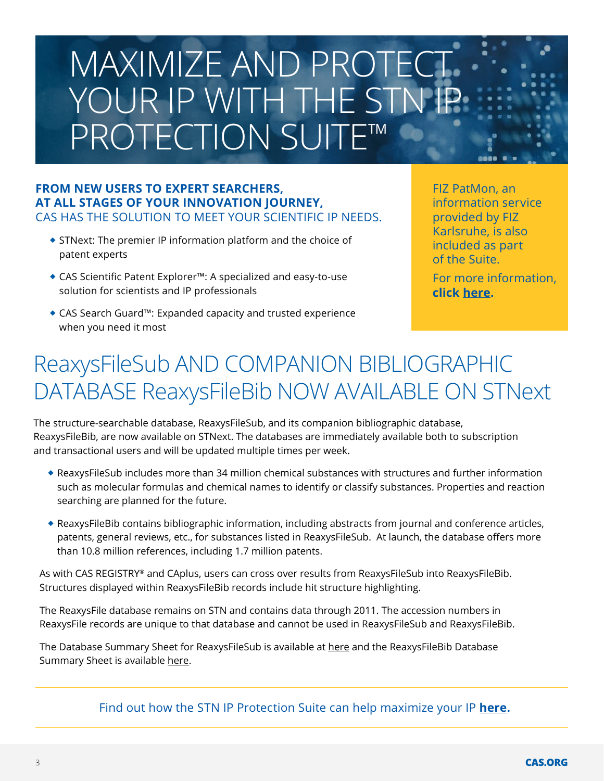## MAXIMIZE AND PROTECT YOUR IP WITH THE STN PROTECTION SUITE™

#### **FROM NEW USERS TO EXPERT SEARCHERS, AT ALL STAGES OF YOUR INNOVATION JOURNEY,**  CAS HAS THE SOLUTION TO MEET YOUR SCIENTIFIC IP NEEDS.

- � STNext: The premier IP information platform and the choice of patent experts
- CAS Scientific Patent Explorer™: A specialized and easy-to-use solution for scientists and IP professionals
- CAS Search Guard™: Expanded capacity and trusted experience when you need it most

FIZ PatMon, an information service provided by FIZ Karlsruhe, is also included as part of the Suite. For more information, **click [here](https://www.fiz-karlsruhe.de/en/produkte-und-dienstleistungen/fiz-patmon).**

## ReaxysFileSub AND COMPANION BIBLIOGRAPHIC DATABASE ReaxysFileBib NOW AVAILABLE ON STNext

The structure-searchable database, ReaxysFileSub, and its companion bibliographic database, ReaxysFileBib, are now available on STNext. The databases are immediately available both to subscription and transactional users and will be updated multiple times per week.

- ReaxysFileSub includes more than 34 million chemical substances with structures and further information such as molecular formulas and chemical names to identify or classify substances. Properties and reaction searching are planned for the future.
- ReaxysFileBib contains bibliographic information, including abstracts from journal and conference articles, patents, general reviews, etc., for substances listed in ReaxysFileSub. At launch, the database offers more than 10.8 million references, including 1.7 million patents.

As with CAS REGISTRY® and CAplus, users can cross over results from ReaxysFileSub into ReaxysFileBib. Structures displayed within ReaxysFileBib records include hit structure highlighting.

The ReaxysFile database remains on STN and contains data through 2011. The accession numbers in ReaxysFile records are unique to that database and cannot be used in ReaxysFileSub and ReaxysFileBib.

The Database Summary Sheet for ReaxysFileSub is available at [here](https://www.cas.org/support/documentation/stn/database-summary-sheets#c%22) and the ReaxysFileBib Database Summary Sheet is availabl[e here](https://www.cas.org/sites/default/files/documents/reaxysfilebib.pdf).

Find out how the STN IP Protection Suite can help maximize your IP **[here](https://www.cas.org/stn-ip-protection-suite).**